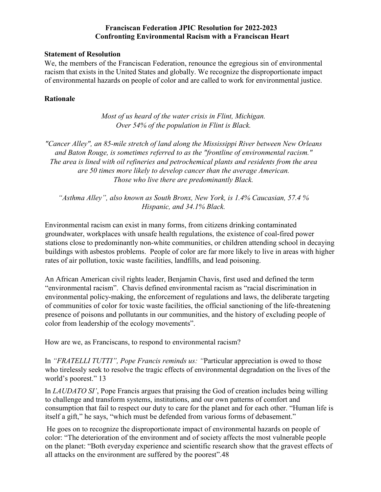### **Franciscan Federation JPIC Resolution for 2022-2023 Confronting Environmental Racism with a Franciscan Heart**

#### **Statement of Resolution**

We, the members of the Franciscan Federation, renounce the egregious sin of environmental racism that exists in the United States and globally. We recognize the disproportionate impact of environmental hazards on people of color and are called to work for environmental justice.

### **Rationale**

*Most of us heard of the water crisis in Flint, Michigan. Over 54% of the population in Flint is Black.*

*"Cancer Alley", an 85-mile stretch of land along the Mississippi River between New Orleans and Baton Rouge, is sometimes referred to as the "frontline of environmental racism." The area is lined with oil refineries and petrochemical plants and residents from the area are 50 times more likely to develop cancer than the average American. Those who live there are predominantly Black.*

*"Asthma Alley", also known as South Bronx, New York, is 1.4% Caucasian, 57.4 % Hispanic, and 34.1% Black.*

Environmental racism can exist in many forms, from citizens drinking contaminated groundwater, workplaces with unsafe health regulations, the existence of coal-fired power stations close to predominantly non-white communities, or children attending school in decaying buildings with asbestos problems. People of color are far more likely to live in areas with higher rates of air pollution, toxic waste facilities, landfills, and lead poisoning.

An African American civil rights leader, Benjamin Chavis, first used and defined the term "environmental racism". Chavis defined environmental racism as "racial discrimination in environmental policy-making, the enforcement of regulations and laws, the deliberate targeting of communities of color for toxic waste facilities, the official sanctioning of the life-threatening presence of poisons and pollutants in our communities, and the history of excluding people of color from leadership of the ecology movements".

How are we, as Franciscans, to respond to environmental racism?

In *"FRATELLI TUTTI", Pope Francis reminds us: "*Particular appreciation is owed to those who tirelessly seek to resolve the tragic effects of environmental degradation on the lives of the world's poorest." 13

In *[LAUDATO SI'](https://thejesuitpost.org/2015/06/an-overview-of-laudato-si/)*[,](https://thejesuitpost.org/2015/06/an-overview-of-laudato-si/) Pope Francis argues that praising the God of creation includes being willing to challenge and transform systems, institutions, and our own patterns of comfort and consumption that fail to respect our duty to care for the planet and for each other. "Human life is itself a gift," he says, "which must be defended from various forms of debasement."

He goes on to recognize the disproportionate impact of environmental hazards on people of color: "The deterioration of the environment and of society affects the most vulnerable people on the planet: "Both everyday experience and scientific research show that the gravest effects of all attacks on the environment are suffered by the poorest".48